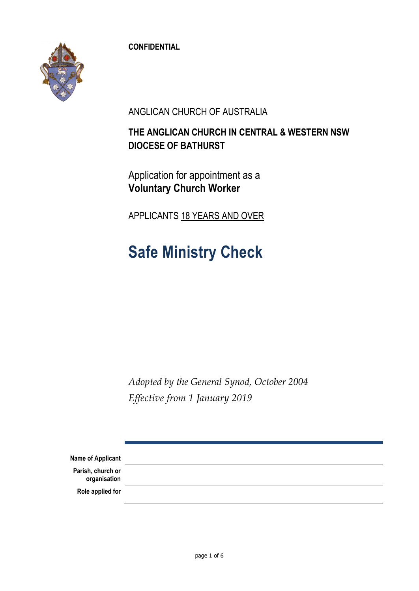**CONFIDENTIAL**



ANGLICAN CHURCH OF AUSTRALIA

### **THE ANGLICAN CHURCH IN CENTRAL & WESTERN NSW DIOCESE OF BATHURST**

Application for appointment as a **Voluntary Church Worker**

APPLICANTS 18 YEARS AND OVER

# **Safe Ministry Check**

*Adopted by the General Synod, October 2004 Effective from 1 January 2019*

| Name of Applicant                 |  |
|-----------------------------------|--|
| Parish, church or<br>organisation |  |
| Role applied for                  |  |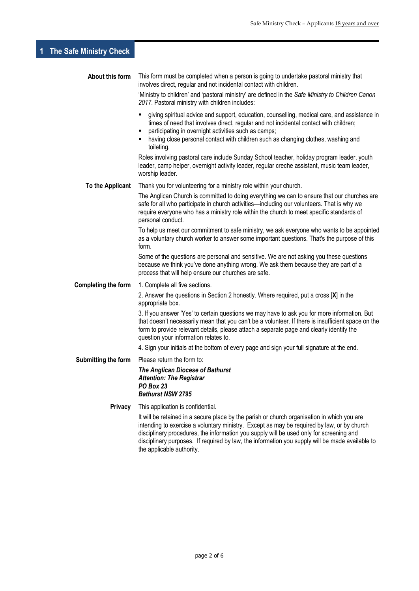### **1 The Safe Ministry Check**

| About this form     | This form must be completed when a person is going to undertake pastoral ministry that<br>involves direct, regular and not incidental contact with children.                                                                                                                                                                                                                                                         |
|---------------------|----------------------------------------------------------------------------------------------------------------------------------------------------------------------------------------------------------------------------------------------------------------------------------------------------------------------------------------------------------------------------------------------------------------------|
|                     | 'Ministry to children' and 'pastoral ministry' are defined in the Safe Ministry to Children Canon<br>2017. Pastoral ministry with children includes:                                                                                                                                                                                                                                                                 |
|                     | giving spiritual advice and support, education, counselling, medical care, and assistance in<br>times of need that involves direct, regular and not incidental contact with children;<br>participating in overnight activities such as camps;<br>٠<br>having close personal contact with children such as changing clothes, washing and<br>toileting.                                                                |
|                     | Roles involving pastoral care include Sunday School teacher, holiday program leader, youth<br>leader, camp helper, overnight activity leader, regular creche assistant, music team leader,<br>worship leader.                                                                                                                                                                                                        |
| To the Applicant    | Thank you for volunteering for a ministry role within your church.                                                                                                                                                                                                                                                                                                                                                   |
|                     | The Anglican Church is committed to doing everything we can to ensure that our churches are<br>safe for all who participate in church activities-including our volunteers. That is why we<br>require everyone who has a ministry role within the church to meet specific standards of<br>personal conduct.                                                                                                           |
|                     | To help us meet our commitment to safe ministry, we ask everyone who wants to be appointed<br>as a voluntary church worker to answer some important questions. That's the purpose of this<br>form.                                                                                                                                                                                                                   |
|                     | Some of the questions are personal and sensitive. We are not asking you these questions<br>because we think you've done anything wrong. We ask them because they are part of a<br>process that will help ensure our churches are safe.                                                                                                                                                                               |
| Completing the form | 1. Complete all five sections.                                                                                                                                                                                                                                                                                                                                                                                       |
|                     | 2. Answer the questions in Section 2 honestly. Where required, put a cross [X] in the<br>appropriate box.                                                                                                                                                                                                                                                                                                            |
|                     | 3. If you answer 'Yes' to certain questions we may have to ask you for more information. But<br>that doesn't necessarily mean that you can't be a volunteer. If there is insufficient space on the<br>form to provide relevant details, please attach a separate page and clearly identify the<br>question your information relates to.                                                                              |
|                     | 4. Sign your initials at the bottom of every page and sign your full signature at the end.                                                                                                                                                                                                                                                                                                                           |
| Submitting the form | Please return the form to:                                                                                                                                                                                                                                                                                                                                                                                           |
|                     | The Anglican Diocese of Bathurst<br><b>Attention: The Registrar</b><br><b>PO Box 23</b><br><b>Bathurst NSW 2795</b>                                                                                                                                                                                                                                                                                                  |
| <b>Privacy</b>      | This application is confidential.                                                                                                                                                                                                                                                                                                                                                                                    |
|                     | It will be retained in a secure place by the parish or church organisation in which you are<br>intending to exercise a voluntary ministry. Except as may be required by law, or by church<br>disciplinary procedures, the information you supply will be used only for screening and<br>disciplinary purposes. If required by law, the information you supply will be made available to<br>the applicable authority. |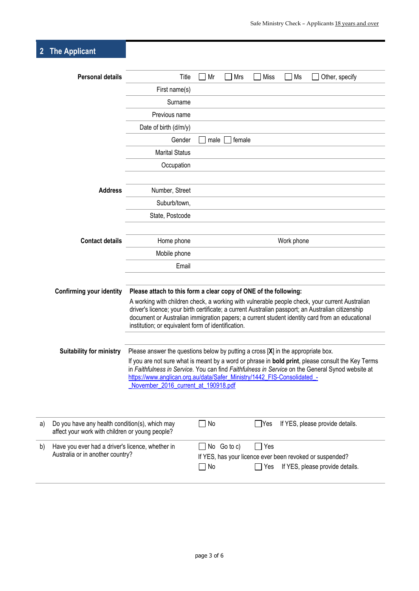## **2 The Applicant**

|    | <b>Personal details</b>                                                                           | Title                                                                                                                                                                                                | Mr                                                                                                                                                                                                                                                                                          | Mrs         | Miss            | Ms         | Other, specify                                                                                 |
|----|---------------------------------------------------------------------------------------------------|------------------------------------------------------------------------------------------------------------------------------------------------------------------------------------------------------|---------------------------------------------------------------------------------------------------------------------------------------------------------------------------------------------------------------------------------------------------------------------------------------------|-------------|-----------------|------------|------------------------------------------------------------------------------------------------|
|    |                                                                                                   | First name(s)                                                                                                                                                                                        |                                                                                                                                                                                                                                                                                             |             |                 |            |                                                                                                |
|    |                                                                                                   | Surname                                                                                                                                                                                              |                                                                                                                                                                                                                                                                                             |             |                 |            |                                                                                                |
|    |                                                                                                   | Previous name                                                                                                                                                                                        |                                                                                                                                                                                                                                                                                             |             |                 |            |                                                                                                |
|    |                                                                                                   | Date of birth (d/m/y)                                                                                                                                                                                |                                                                                                                                                                                                                                                                                             |             |                 |            |                                                                                                |
|    |                                                                                                   | Gender                                                                                                                                                                                               | male                                                                                                                                                                                                                                                                                        | female      |                 |            |                                                                                                |
|    |                                                                                                   | <b>Marital Status</b>                                                                                                                                                                                |                                                                                                                                                                                                                                                                                             |             |                 |            |                                                                                                |
|    |                                                                                                   | Occupation                                                                                                                                                                                           |                                                                                                                                                                                                                                                                                             |             |                 |            |                                                                                                |
|    |                                                                                                   |                                                                                                                                                                                                      |                                                                                                                                                                                                                                                                                             |             |                 |            |                                                                                                |
|    | <b>Address</b>                                                                                    | Number, Street                                                                                                                                                                                       |                                                                                                                                                                                                                                                                                             |             |                 |            |                                                                                                |
|    |                                                                                                   | Suburb/town,                                                                                                                                                                                         |                                                                                                                                                                                                                                                                                             |             |                 |            |                                                                                                |
|    |                                                                                                   | State, Postcode                                                                                                                                                                                      |                                                                                                                                                                                                                                                                                             |             |                 |            |                                                                                                |
|    |                                                                                                   |                                                                                                                                                                                                      |                                                                                                                                                                                                                                                                                             |             |                 |            |                                                                                                |
|    | <b>Contact details</b>                                                                            | Home phone                                                                                                                                                                                           |                                                                                                                                                                                                                                                                                             |             |                 | Work phone |                                                                                                |
|    |                                                                                                   | Mobile phone                                                                                                                                                                                         |                                                                                                                                                                                                                                                                                             |             |                 |            |                                                                                                |
|    |                                                                                                   | Email                                                                                                                                                                                                |                                                                                                                                                                                                                                                                                             |             |                 |            |                                                                                                |
|    |                                                                                                   |                                                                                                                                                                                                      |                                                                                                                                                                                                                                                                                             |             |                 |            |                                                                                                |
|    | <b>Confirming your identity</b>                                                                   | Please attach to this form a clear copy of ONE of the following:                                                                                                                                     |                                                                                                                                                                                                                                                                                             |             |                 |            |                                                                                                |
|    |                                                                                                   | A working with children check, a working with vulnerable people check, your current Australian<br>driver's licence; your birth certificate; a current Australian passport; an Australian citizenship |                                                                                                                                                                                                                                                                                             |             |                 |            |                                                                                                |
|    |                                                                                                   |                                                                                                                                                                                                      |                                                                                                                                                                                                                                                                                             |             |                 |            | document or Australian immigration papers; a current student identity card from an educational |
|    |                                                                                                   | institution; or equivalent form of identification.                                                                                                                                                   |                                                                                                                                                                                                                                                                                             |             |                 |            |                                                                                                |
|    |                                                                                                   |                                                                                                                                                                                                      |                                                                                                                                                                                                                                                                                             |             |                 |            |                                                                                                |
|    | <b>Suitability for ministry</b>                                                                   |                                                                                                                                                                                                      | Please answer the questions below by putting a cross $[X]$ in the appropriate box.<br>If you are not sure what is meant by a word or phrase in bold print, please consult the Key Terms<br>in Faithfulness in Service. You can find Faithfulness in Service on the General Synod website at |             |                 |            |                                                                                                |
|    |                                                                                                   |                                                                                                                                                                                                      |                                                                                                                                                                                                                                                                                             |             |                 |            |                                                                                                |
|    |                                                                                                   | https://www.anglican.org.au/data/Safer_Ministry/1442_FIS-Consolidated_-<br>November_2016_current_at_190918.pdf                                                                                       |                                                                                                                                                                                                                                                                                             |             |                 |            |                                                                                                |
|    |                                                                                                   |                                                                                                                                                                                                      |                                                                                                                                                                                                                                                                                             |             |                 |            |                                                                                                |
|    |                                                                                                   |                                                                                                                                                                                                      |                                                                                                                                                                                                                                                                                             |             |                 |            |                                                                                                |
|    |                                                                                                   |                                                                                                                                                                                                      |                                                                                                                                                                                                                                                                                             |             |                 |            |                                                                                                |
| a) | Do you have any health condition(s), which may<br>affect your work with children or young people? |                                                                                                                                                                                                      | $\exists$ No                                                                                                                                                                                                                                                                                |             | $\Box$ Yes      |            | If YES, please provide details.                                                                |
| b) | Have you ever had a driver's licence, whether in                                                  |                                                                                                                                                                                                      |                                                                                                                                                                                                                                                                                             | No Go to c) | $\sqsupset$ Yes |            |                                                                                                |
|    | Australia or in another country?                                                                  |                                                                                                                                                                                                      |                                                                                                                                                                                                                                                                                             |             |                 |            | If YES, has your licence ever been revoked or suspended?                                       |
|    |                                                                                                   |                                                                                                                                                                                                      | $\Box$ No                                                                                                                                                                                                                                                                                   |             | $\Box$ Yes      |            | If YES, please provide details.                                                                |
|    |                                                                                                   |                                                                                                                                                                                                      |                                                                                                                                                                                                                                                                                             |             |                 |            |                                                                                                |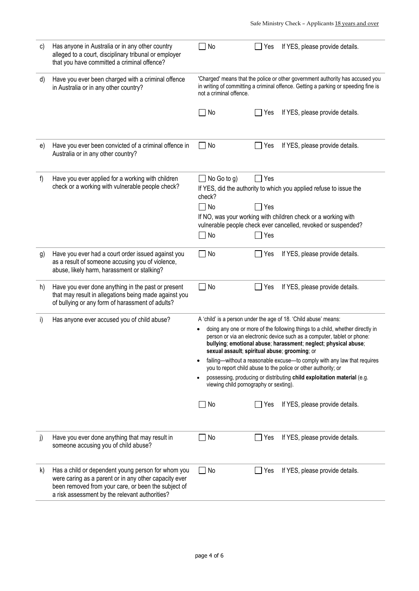| C) | Has anyone in Australia or in any other country<br>alleged to a court, disciplinary tribunal or employer<br>that you have committed a criminal offence?                                                              | No                                                                                                                                                                                                                                                                           | If YES, please provide details.<br>Yes                                                                                                                                                                                    |  |
|----|----------------------------------------------------------------------------------------------------------------------------------------------------------------------------------------------------------------------|------------------------------------------------------------------------------------------------------------------------------------------------------------------------------------------------------------------------------------------------------------------------------|---------------------------------------------------------------------------------------------------------------------------------------------------------------------------------------------------------------------------|--|
| d) | Have you ever been charged with a criminal offence<br>in Australia or in any other country?                                                                                                                          | 'Charged' means that the police or other government authority has accused you<br>in writing of committing a criminal offence. Getting a parking or speeding fine is<br>not a criminal offence.                                                                               |                                                                                                                                                                                                                           |  |
|    |                                                                                                                                                                                                                      | No                                                                                                                                                                                                                                                                           | If YES, please provide details.<br>Yes                                                                                                                                                                                    |  |
| e) | Have you ever been convicted of a criminal offence in<br>Australia or in any other country?                                                                                                                          | No                                                                                                                                                                                                                                                                           | If YES, please provide details.<br>Yes                                                                                                                                                                                    |  |
| f) | Have you ever applied for a working with children<br>check or a working with vulnerable people check?                                                                                                                | No Go to g)<br>check?<br>$\Box$ No<br>No                                                                                                                                                                                                                                     | Yes<br>If YES, did the authority to which you applied refuse to issue the<br>Yes<br>If NO, was your working with children check or a working with<br>vulnerable people check ever cancelled, revoked or suspended?<br>Yes |  |
| g) | Have you ever had a court order issued against you<br>as a result of someone accusing you of violence,<br>abuse, likely harm, harassment or stalking?                                                                | No<br>$\overline{\phantom{0}}$                                                                                                                                                                                                                                               | If YES, please provide details.<br>Yes                                                                                                                                                                                    |  |
| h) | Have you ever done anything in the past or present<br>that may result in allegations being made against you<br>of bullying or any form of harassment of adults?                                                      | No<br>$\Box$                                                                                                                                                                                                                                                                 | Yes<br>If YES, please provide details.                                                                                                                                                                                    |  |
| i) | Has anyone ever accused you of child abuse?                                                                                                                                                                          |                                                                                                                                                                                                                                                                              | A 'child' is a person under the age of 18. 'Child abuse' means:                                                                                                                                                           |  |
|    |                                                                                                                                                                                                                      | doing any one or more of the following things to a child, whether directly in<br>person or via an electronic device such as a computer, tablet or phone:<br>bullying; emotional abuse; harassment; neglect; physical abuse;<br>sexual assault; spiritual abuse; grooming; or |                                                                                                                                                                                                                           |  |
|    |                                                                                                                                                                                                                      |                                                                                                                                                                                                                                                                              | failing-without a reasonable excuse-to comply with any law that requires<br>you to report child abuse to the police or other authority; or                                                                                |  |
|    |                                                                                                                                                                                                                      | possessing, producing or distributing child exploitation material (e.g.<br>٠<br>viewing child pornography or sexting).                                                                                                                                                       |                                                                                                                                                                                                                           |  |
|    |                                                                                                                                                                                                                      | No<br>$\overline{\phantom{a}}$                                                                                                                                                                                                                                               | Yes<br>If YES, please provide details.<br>$\mathsf{L}$                                                                                                                                                                    |  |
| j) | Have you ever done anything that may result in<br>someone accusing you of child abuse?                                                                                                                               | No                                                                                                                                                                                                                                                                           | If YES, please provide details.<br>Yes                                                                                                                                                                                    |  |
| k) | Has a child or dependent young person for whom you<br>were caring as a parent or in any other capacity ever<br>been removed from your care, or been the subject of<br>a risk assessment by the relevant authorities? | No                                                                                                                                                                                                                                                                           | If YES, please provide details.<br>Yes                                                                                                                                                                                    |  |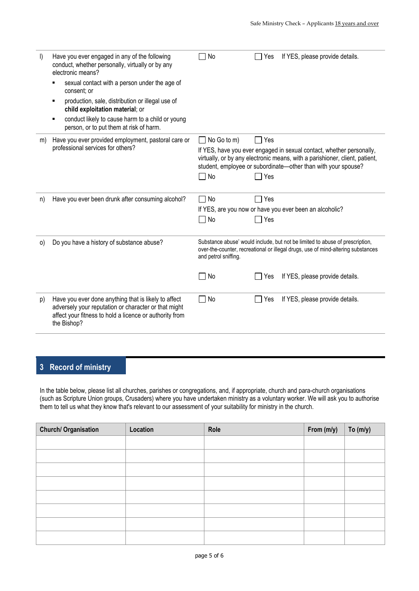| $\vert$ | Have you ever engaged in any of the following<br>conduct, whether personally, virtually or by any<br>electronic means?<br>sexual contact with a person under the age of<br>consent; or<br>production, sale, distribution or illegal use of<br>child exploitation material; or<br>conduct likely to cause harm to a child or young<br>person, or to put them at risk of harm. | <b>No</b>                  | If YES, please provide details.<br>Yes                                                                                                                                                                                               |
|---------|------------------------------------------------------------------------------------------------------------------------------------------------------------------------------------------------------------------------------------------------------------------------------------------------------------------------------------------------------------------------------|----------------------------|--------------------------------------------------------------------------------------------------------------------------------------------------------------------------------------------------------------------------------------|
| m)      | Have you ever provided employment, pastoral care or<br>professional services for others?                                                                                                                                                                                                                                                                                     | $\Box$ No Go to m)<br>□ No | Π Yes<br>If YES, have you ever engaged in sexual contact, whether personally,<br>virtually, or by any electronic means, with a parishioner, client, patient,<br>student, employee or subordinate-other than with your spouse?<br>Yes |
| n)      | Have you ever been drunk after consuming alcohol?                                                                                                                                                                                                                                                                                                                            | No<br>No                   | Yes<br>If YES, are you now or have you ever been an alcoholic?<br>Yes                                                                                                                                                                |
| $\circ$ | Do you have a history of substance abuse?                                                                                                                                                                                                                                                                                                                                    | and petrol sniffing.<br>No | Substance abuse' would include, but not be limited to abuse of prescription,<br>over-the-counter, recreational or illegal drugs, use of mind-altering substances<br>If YES, please provide details.<br>Yes                           |
| p)      | Have you ever done anything that is likely to affect<br>adversely your reputation or character or that might<br>affect your fitness to hold a licence or authority from<br>the Bishop?                                                                                                                                                                                       | No                         | If YES, please provide details.<br>Yes                                                                                                                                                                                               |

#### **3 Record of ministry**

In the table below, please list all churches, parishes or congregations, and, if appropriate, church and para-church organisations (such as Scripture Union groups, Crusaders) where you have undertaken ministry as a voluntary worker. We will ask you to authorise them to tell us what they know that's relevant to our assessment of your suitability for ministry in the church.

| <b>Church/ Organisation</b> | Location | Role | From (m/y) | To $(m/y)$ |
|-----------------------------|----------|------|------------|------------|
|                             |          |      |            |            |
|                             |          |      |            |            |
|                             |          |      |            |            |
|                             |          |      |            |            |
|                             |          |      |            |            |
|                             |          |      |            |            |
|                             |          |      |            |            |
|                             |          |      |            |            |